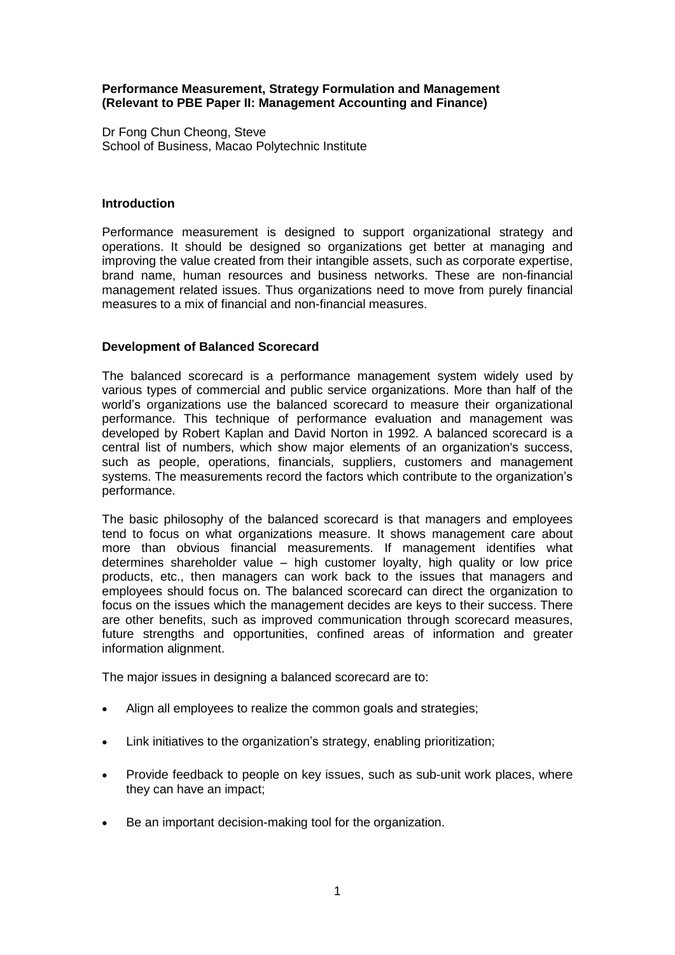### **Performance Measurement, Strategy Formulation and Management (Relevant to PBE Paper II: Management Accounting and Finance)**

Dr Fong Chun Cheong, Steve School of Business, Macao Polytechnic Institute

### **Introduction**

Performance measurement is designed to support organizational strategy and operations. It should be designed so organizations get better at managing and improving the value created from their intangible assets, such as corporate expertise, brand name, human resources and business networks. These are non-financial management related issues. Thus organizations need to move from purely financial measures to a mix of financial and non-financial measures.

# **Development of Balanced Scorecard**

The balanced scorecard is a performance management system widely used by various types of commercial and public service organizations. More than half of the world's organizations use the balanced scorecard to measure their organizational performance. This technique of performance evaluation and management was developed by Robert Kaplan and David Norton in 1992. A balanced scorecard is a central list of numbers, which show major elements of an organization's success, such as people, operations, financials, suppliers, customers and management systems. The measurements record the factors which contribute to the organization's performance.

The basic philosophy of the balanced scorecard is that managers and employees tend to focus on what organizations measure. It shows management care about more than obvious financial measurements. If management identifies what determines shareholder value – high customer loyalty, high quality or low price products, etc., then managers can work back to the issues that managers and employees should focus on. The balanced scorecard can direct the organization to focus on the issues which the management decides are keys to their success. There are other benefits, such as improved communication through scorecard measures, future strengths and opportunities, confined areas of information and greater information alignment.

The major issues in designing a balanced scorecard are to:

- Align all employees to realize the common goals and strategies;
- Link initiatives to the organization's strategy, enabling prioritization;
- Provide feedback to people on key issues, such as sub-unit work places, where they can have an impact;
- Be an important decision-making tool for the organization.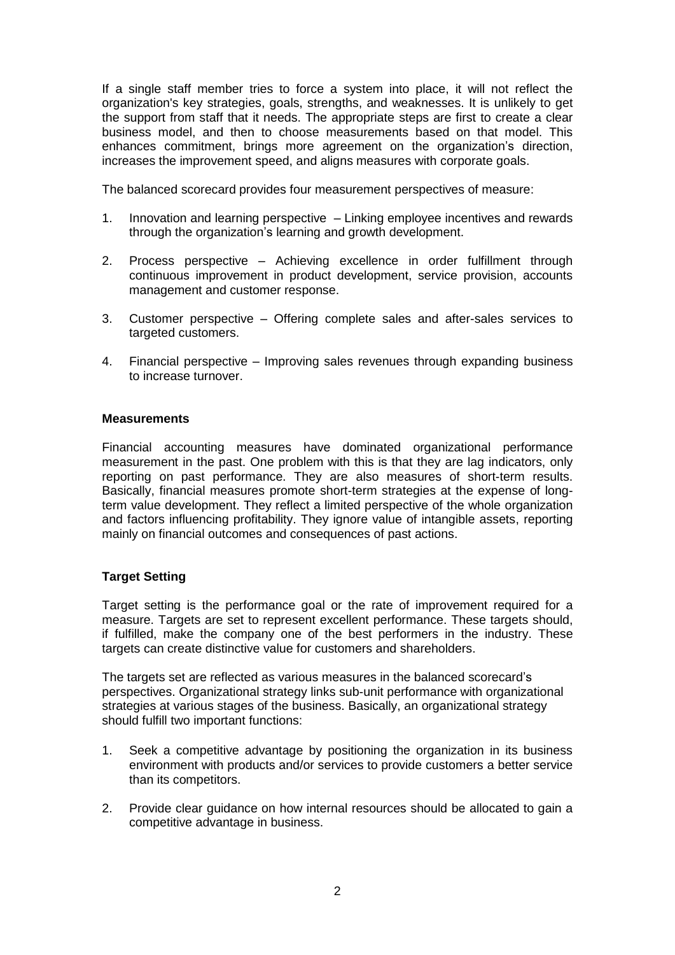If a single staff member tries to force a system into place, it will not reflect the organization's key strategies, goals, strengths, and weaknesses. It is unlikely to get the support from staff that it needs. The appropriate steps are first to create a clear business model, and then to choose measurements based on that model. This enhances commitment, brings more agreement on the organization's direction, increases the improvement speed, and aligns measures with corporate goals.

The balanced scorecard provides four measurement perspectives of measure:

- 1. Innovation and learning perspective Linking employee incentives and rewards through the organization's learning and growth development.
- 2. Process perspective Achieving excellence in order fulfillment through continuous improvement in product development, service provision, accounts management and customer response.
- 3. Customer perspective Offering complete sales and after-sales services to targeted customers.
- 4. Financial perspective Improving sales revenues through expanding business to increase turnover.

#### **Measurements**

Financial accounting measures have dominated organizational performance measurement in the past. One problem with this is that they are lag indicators, only reporting on past performance. They are also measures of short-term results. Basically, financial measures promote short-term strategies at the expense of longterm value development. They reflect a limited perspective of the whole organization and factors influencing profitability. They ignore value of intangible assets, reporting mainly on financial outcomes and consequences of past actions.

# **Target Setting**

Target setting is the performance goal or the rate of improvement required for a measure. Targets are set to represent excellent performance. These targets should, if fulfilled, make the company one of the best performers in the industry. These targets can create distinctive value for customers and shareholders.

The targets set are reflected as various measures in the balanced scorecard's perspectives. Organizational strategy links sub-unit performance with organizational strategies at various stages of the business. Basically, an organizational strategy should fulfill two important functions:

- 1. Seek a competitive advantage by positioning the organization in its business environment with products and/or services to provide customers a better service than its competitors.
- 2. Provide clear guidance on how internal resources should be allocated to gain a competitive advantage in business.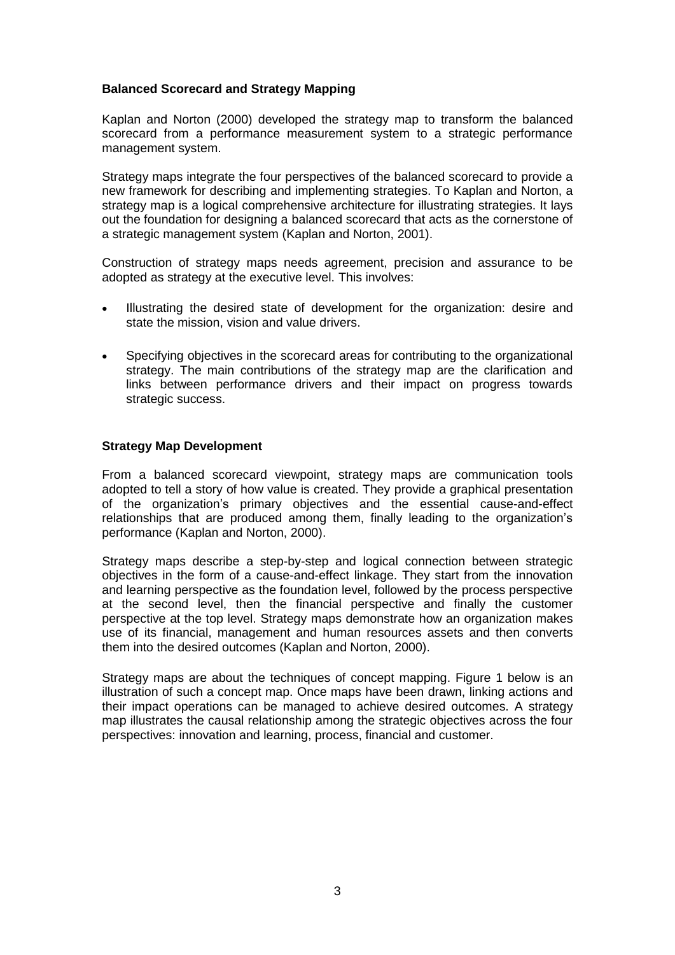# **Balanced Scorecard and Strategy Mapping**

Kaplan and Norton (2000) developed the strategy map to transform the balanced scorecard from a performance measurement system to a strategic performance management system.

Strategy maps integrate the four perspectives of the balanced scorecard to provide a new framework for describing and implementing strategies. To Kaplan and Norton, a strategy map is a logical comprehensive architecture for illustrating strategies. It lays out the foundation for designing a balanced scorecard that acts as the cornerstone of a strategic management system (Kaplan and Norton, 2001).

Construction of strategy maps needs agreement, precision and assurance to be adopted as strategy at the executive level. This involves:

- Illustrating the desired state of development for the organization: desire and state the mission, vision and value drivers.
- Specifying objectives in the scorecard areas for contributing to the organizational strategy. The main contributions of the strategy map are the clarification and links between performance drivers and their impact on progress towards strategic success.

# **Strategy Map Development**

From a balanced scorecard viewpoint, strategy maps are communication tools adopted to tell a story of how value is created. They provide a graphical presentation of the organization's primary objectives and the essential cause-and-effect relationships that are produced among them, finally leading to the organization's performance (Kaplan and Norton, 2000).

Strategy maps describe a step-by-step and logical connection between strategic objectives in the form of a cause-and-effect linkage. They start from the innovation and learning perspective as the foundation level, followed by the process perspective at the second level, then the financial perspective and finally the customer perspective at the top level. Strategy maps demonstrate how an organization makes use of its financial, management and human resources assets and then converts them into the desired outcomes (Kaplan and Norton, 2000).

Strategy maps are about the techniques of concept mapping. Figure 1 below is an illustration of such a concept map. Once maps have been drawn, linking actions and their impact operations can be managed to achieve desired outcomes. A strategy map illustrates the causal relationship among the strategic objectives across the four perspectives: innovation and learning, process, financial and customer.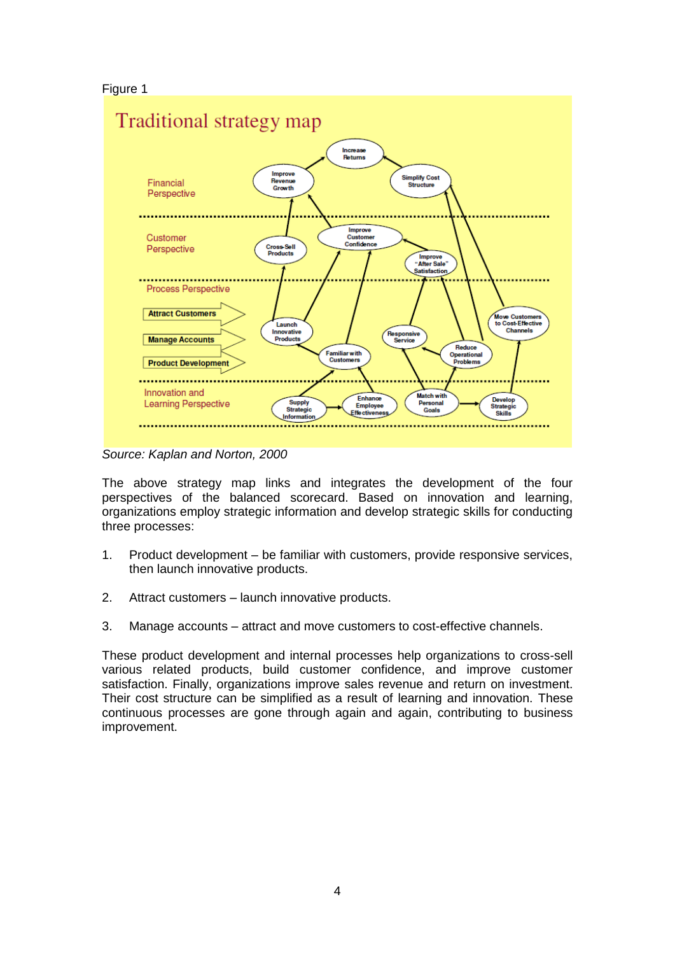# Figure 1



*Source: Kaplan and Norton, 2000*

The above strategy map links and integrates the development of the four perspectives of the balanced scorecard. Based on innovation and learning, organizations employ strategic information and develop strategic skills for conducting three processes:

- 1. Product development be familiar with customers, provide responsive services, then launch innovative products.
- 2. Attract customers launch innovative products.
- 3. Manage accounts attract and move customers to cost-effective channels.

These product development and internal processes help organizations to cross-sell various related products, build customer confidence, and improve customer satisfaction. Finally, organizations improve sales revenue and return on investment. Their cost structure can be simplified as a result of learning and innovation. These continuous processes are gone through again and again, contributing to business improvement.